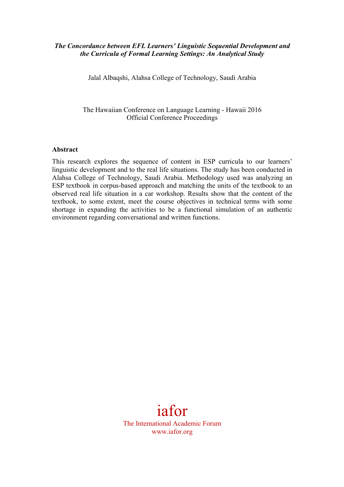## *The Concordance between EFL Learners' Linguistic Sequential Development and the Curricula of Formal Learning Settings: An Analytical Study*

Jalal Albaqshi, Alahsa College of Technology, Saudi Arabia

The Hawaiian Conference on Language Learning - Hawaii 2016 Official Conference Proceedings

#### **Abstract**

This research explores the sequence of content in ESP curricula to our learners' linguistic development and to the real life situations. The study has been conducted in Alahsa College of Technology, Saudi Arabia. Methodology used was analyzing an ESP textbook in corpus-based approach and matching the units of the textbook to an observed real life situation in a car workshop. Results show that the content of the textbook, to some extent, meet the course objectives in technical terms with some shortage in expanding the activities to be a functional simulation of an authentic environment regarding conversational and written functions.

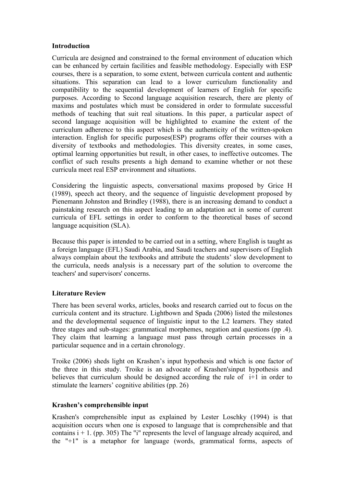### **Introduction**

Curricula are designed and constrained to the formal environment of education which can be enhanced by certain facilities and feasible methodology. Especially with ESP courses, there is a separation, to some extent, between curricula content and authentic situations. This separation can lead to a lower curriculum functionality and compatibility to the sequential development of learners of English for specific purposes. According to Second language acquisition research, there are plenty of maxims and postulates which must be considered in order to formulate successful methods of teaching that suit real situations. In this paper, a particular aspect of second language acquisition will be highlighted to examine the extent of the curriculum adherence to this aspect which is the authenticity of the written-spoken interaction. English for specific purposes(ESP) programs offer their courses with a diversity of textbooks and methodologies. This diversity creates, in some cases, optimal learning opportunities but result, in other cases, to ineffective outcomes. The conflict of such results presents a high demand to examine whether or not these curricula meet real ESP environment and situations.

Considering the linguistic aspects, conversational maxims proposed by Grice H (1989), speech act theory, and the sequence of linguistic development proposed by Pienemann Johnston and Brindley (1988), there is an increasing demand to conduct a painstaking research on this aspect leading to an adaptation act in some of current curricula of EFL settings in order to conform to the theoretical bases of second language acquisition (SLA).

Because this paper is intended to be carried out in a setting, where English is taught as a foreign language (EFL) Saudi Arabia, and Saudi teachers and supervisors of English always complain about the textbooks and attribute the students' slow development to the curricula, needs analysis is a necessary part of the solution to overcome the teachers' and supervisors' concerns.

# **Literature Review**

There has been several works, articles, books and research carried out to focus on the curricula content and its structure. Lightbown and Spada (2006) listed the milestones and the developmental sequence of linguistic input to the L2 learners. They stated three stages and sub-stages: grammatical morphemes, negation and questions (pp .4). They claim that learning a language must pass through certain processes in a particular sequence and in a certain chronology.

Troike (2006) sheds light on Krashen's input hypothesis and which is one factor of the three in this study. Troike is an advocate of Krashen'sinput hypothesis and believes that curriculum should be designed according the rule of i+1 in order to stimulate the learners' cognitive abilities (pp. 26)

# **Krashen's comprehensible input**

Krashen's comprehensible input as explained by Lester Loschky (1994) is that acquisition occurs when one is exposed to language that is comprehensible and that contains  $i + 1$ . (pp. 305) The "i" represents the level of language already acquired, and the "+1" is a metaphor for language (words, grammatical forms, aspects of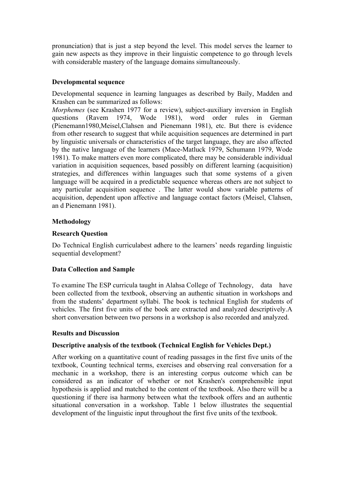pronunciation) that is just a step beyond the level. This model serves the learner to gain new aspects as they improve in their linguistic competence to go through levels with considerable mastery of the language domains simultaneously.

## **Developmental sequence**

Developmental sequence in learning languages as described by Baily, Madden and Krashen can be summarized as follows:

*Morphemes* (see Krashen 1977 for a review), subject-auxiliary inversion in English questions (Ravem 1974, Wode 1981), word order rules in German (Pienemann1980,Meisel,Clahsen and Pienemann 1981), etc. But there is evidence from other research to suggest that while acquisition sequences are determined in part by linguistic universals or characteristics of the target language, they are also affected by the native language of the learners (Mace-Matluck 1979, Schumann 1979, Wode 1981). To make matters even more complicated, there may be considerable individual variation in acquisition sequences, based possibly on different learning (acquisition) strategies, and differences within languages such that some systems of a given language will be acquired in a predictable sequence whereas others are not subject to any particular acquisition sequence . The latter would show variable patterns of acquisition, dependent upon affective and language contact factors (Meisel, Clahsen, an d Pienemann 1981).

## **Methodology**

## **Research Question**

Do Technical English curriculabest adhere to the learners' needs regarding linguistic sequential development?

### **Data Collection and Sample**

To examine The ESP curricula taught in Alahsa College of Technology, data have been collected from the textbook, observing an authentic situation in workshops and from the students' department syllabi. The book is technical English for students of vehicles. The first five units of the book are extracted and analyzed descriptively.A short conversation between two persons in a workshop is also recorded and analyzed.

### **Results and Discussion**

# **Descriptive analysis of the textbook (Technical English for Vehicles Dept.)**

After working on a quantitative count of reading passages in the first five units of the textbook, Counting technical terms, exercises and observing real conversation for a mechanic in a workshop, there is an interesting corpus outcome which can be considered as an indicator of whether or not Krashen's comprehensible input hypothesis is applied and matched to the content of the textbook. Also there will be a questioning if there isa harmony between what the textbook offers and an authentic situational conversation in a workshop. Table 1 below illustrates the sequential development of the linguistic input throughout the first five units of the textbook.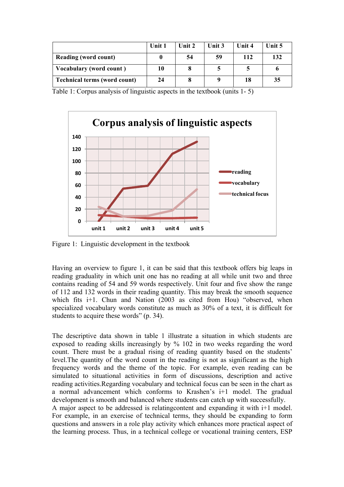|                                     | Unit 1 | Unit $2$ | Unit 3 | Unit 4 | Unit 5 |
|-------------------------------------|--------|----------|--------|--------|--------|
| <b>Reading (word count)</b>         |        | 54       | 59     | 112    | 132    |
| Vocabulary (word count)             | 10     |          |        |        |        |
| <b>Technical terms (word count)</b> | 24     |          |        | 18     | 35     |

Table 1: Corpus analysis of linguistic aspects in the textbook (units 1- 5)



Figure 1: Linguistic development in the textbook

Having an overview to figure 1, it can be said that this textbook offers big leaps in reading graduality in which unit one has no reading at all while unit two and three contains reading of 54 and 59 words respectively. Unit four and five show the range of 112 and 132 words in their reading quantity. This may break the smooth sequence which fits i+1. Chun and Nation (2003 as cited from Hou) "observed, when specialized vocabulary words constitute as much as 30% of a text, it is difficult for students to acquire these words" (p. 34).

The descriptive data shown in table 1 illustrate a situation in which students are exposed to reading skills increasingly by % 102 in two weeks regarding the word count. There must be a gradual rising of reading quantity based on the students' level.The quantity of the word count in the reading is not as significant as the high frequency words and the theme of the topic. For example, even reading can be simulated to situational activities in form of discussions, description and active reading activities.Regarding vocabulary and technical focus can be seen in the chart as a normal advancement which conforms to Krashen's i+1 model. The gradual development is smooth and balanced where students can catch up with successfully.

A major aspect to be addressed is relatingcontent and expanding it with i+1 model. For example, in an exercise of technical terms, they should be expanding to form questions and answers in a role play activity which enhances more practical aspect of the learning process. Thus, in a technical college or vocational training centers, ESP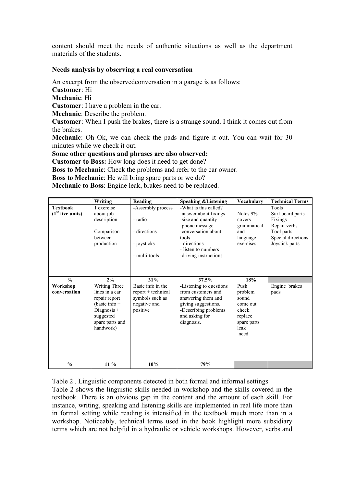content should meet the needs of authentic situations as well as the department materials of the students.

### **Needs analysis by observing a real conversation**

An excerpt from the observedconversation in a garage is as follows:

**Customer**: Hi

**Mechanic**: Hi

**Customer**: I have a problem in the car.

**Mechanic**: Describe the problem.

**Customer**: When I push the brakes, there is a strange sound. I think it comes out from the brakes.

**Mechanic**: Oh Ok, we can check the pads and figure it out. You can wait for 30 minutes while we check it out.

**Some other questions and phrases are also observed:** 

**Customer to Boss:** How long does it need to get done?

**Boss to Mechanic**: Check the problems and refer to the car owner.

**Boss to Mechanic**: He will bring spare parts or we do?

**Mechanic to Boss**: Engine leak, brakes need to be replaced.

|                                       | Writing                                                                                                                           | Reading                                                                                  | <b>Speaking &amp; Listening</b>                                                                                                                                                        | Vocabulary                                                                              | <b>Technical Terms</b>                                                                                     |
|---------------------------------------|-----------------------------------------------------------------------------------------------------------------------------------|------------------------------------------------------------------------------------------|----------------------------------------------------------------------------------------------------------------------------------------------------------------------------------------|-----------------------------------------------------------------------------------------|------------------------------------------------------------------------------------------------------------|
| <b>Textbook</b><br>$(1st$ five units) | 1 exercise<br>about job<br>description<br>Comparison<br>between<br>production                                                     | -Assembly process<br>- radio<br>- directions<br>- joysticks<br>- multi-tools             | -What is this called?<br>-answer about fixings<br>-size and quantity<br>-phone message<br>-conversation about<br>tools<br>- directions<br>- listen to numbers<br>-driving instructions | Notes 9%<br>covers<br>grammatical<br>and<br>language<br>exercises                       | Tools<br>Surf board parts<br>Fixings<br>Repair verbs<br>Tool parts<br>Special directions<br>Joystick parts |
| $\frac{0}{0}$                         | 2%                                                                                                                                | 31%                                                                                      | 37.5%                                                                                                                                                                                  | 18%                                                                                     |                                                                                                            |
| Workshop<br>conversation              | Writing Three<br>lines in a car<br>repair report<br>(basic info $+$<br>Diagnosis $+$<br>suggested<br>spare parts and<br>handwork) | Basic info in the<br>$report + technical$<br>symbols such as<br>negative and<br>positive | -Listening to questions<br>from customers and<br>answering them and<br>giving suggestions.<br>-Describing problems<br>and asking for<br>diagnosis.                                     | Push<br>problem<br>sound<br>come out<br>check<br>replace<br>spare parts<br>leak<br>need | Engine brakes<br>pads                                                                                      |
| $\frac{0}{0}$                         | 11 %                                                                                                                              | 10%                                                                                      | 79%                                                                                                                                                                                    |                                                                                         |                                                                                                            |

Table 2 . Linguistic components detected in both formal and informal settings Table 2 shows the linguistic skills needed in workshop and the skills covered in the textbook. There is an obvious gap in the content and the amount of each skill. For instance, writing, speaking and listening skills are implemented in real life more than in formal setting while reading is intensified in the textbook much more than in a workshop. Noticeably, technical terms used in the book highlight more subsidiary terms which are not helpful in a hydraulic or vehicle workshops. However, verbs and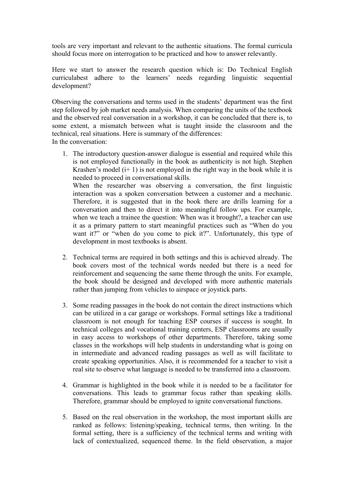tools are very important and relevant to the authentic situations. The formal curricula should focus more on interrogation to be practiced and how to answer relevantly.

Here we start to answer the research question which is: Do Technical English curriculabest adhere to the learners' needs regarding linguistic sequential development?

Observing the conversations and terms used in the students' department was the first step followed by job market needs analysis. When comparing the units of the textbook and the observed real conversation in a workshop, it can be concluded that there is, to some extent, a mismatch between what is taught inside the classroom and the technical, real situations. Here is summary of the differences: In the conversation:

- 1. The introductory question-answer dialogue is essential and required while this is not employed functionally in the book as authenticity is not high. Stephen Krashen's model  $(i+1)$  is not employed in the right way in the book while it is needed to proceed in conversational skills. When the researcher was observing a conversation, the first linguistic interaction was a spoken conversation between a customer and a mechanic. Therefore, it is suggested that in the book there are drills learning for a conversation and then to direct it into meaningful follow ups. For example, when we teach a trainee the question: When was it brought?, a teacher can use it as a primary pattern to start meaningful practices such as "When do you want it?" or "when do you come to pick it?". Unfortunately, this type of development in most textbooks is absent.
- 2. Technical terms are required in both settings and this is achieved already. The book covers most of the technical words needed but there is a need for reinforcement and sequencing the same theme through the units. For example, the book should be designed and developed with more authentic materials rather than jumping from vehicles to airspace or joystick parts.
- 3. Some reading passages in the book do not contain the direct instructions which can be utilized in a car garage or workshops. Formal settings like a traditional classroom is not enough for teaching ESP courses if success is sought. In technical colleges and vocational training centers, ESP classrooms are usually in easy access to workshops of other departments. Therefore, taking some classes in the workshops will help students in understanding what is going on in intermediate and advanced reading passages as well as will facilitate to create speaking opportunities. Also, it is recommended for a teacher to visit a real site to observe what language is needed to be transferred into a classroom.
- 4. Grammar is highlighted in the book while it is needed to be a facilitator for conversations. This leads to grammar focus rather than speaking skills. Therefore, grammar should be employed to ignite conversational functions.
- 5. Based on the real observation in the workshop, the most important skills are ranked as follows: listening/speaking, technical terms, then writing. In the formal setting, there is a sufficiency of the technical terms and writing with lack of contextualized, sequenced theme. In the field observation, a major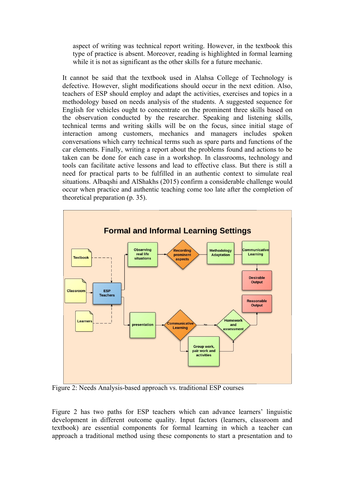aspect of writing was technical report writing. However, in the textbook this type of practice is absent. Moreover, reading is highlighted in formal learning while it is not as significant as the other skills for a future mechanic.

It cannot be said that the textbook used in Alahsa College of Technology is defective. However, slight modifications should occur in the next edition. Also, teachers of ESP should employ and adapt the activities, exercises and topics in a methodology based on needs analysis of the students. A suggested sequence for English for vehicles ought to concentrate on the prominent three skills based on the observation conducted by the researcher. Speaking and listening skills, technical terms and writing skills will be on the focus, since initial stage of interaction among customers, mechanics and managers includes spoken conversations which carry technical terms such as spare parts and functions of the car elements. Finally, writing a report about the problems found and actions to be taken can be done for each case in a workshop. In classrooms, technology and tools can facilitate active lessons and lead to effective class. But there is still a need for practical parts to be fulfilled in an authentic context to simulate real situations. Albaqshi and AlShakhs (2015) confirm a considerable challenge would occur when practice and authentic teaching come too late after the completion of theoretical preparation (p. 35).



Figure 2: Needs Analysis-based approach vs. traditional ESP courses

Figure 2 has two paths for ESP teachers which can advance learners' linguistic development in different outcome quality. Input factors (learners, classroom and textbook) are essential components for formal learning in which a teacher can approach a traditional method using these components to start a presentation and to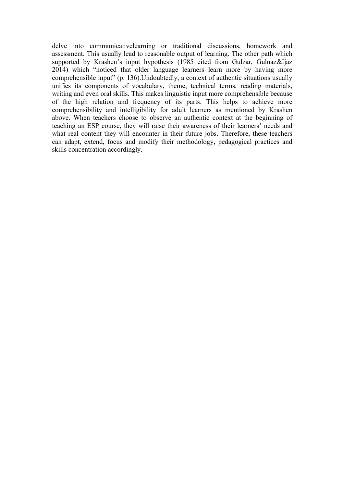delve into communicativelearning or traditional discussions, homework and assessment. This usually lead to reasonable output of learning. The other path which supported by Krashen's input hypothesis (1985 cited from Gulzar, Gulnaz&Ijaz 2014) which "noticed that older language learners learn more by having more comprehensible input" (p. 136).Undoubtedly, a context of authentic situations usually unifies its components of vocabulary, theme, technical terms, reading materials, writing and even oral skills. This makes linguistic input more comprehensible because of the high relation and frequency of its parts. This helps to achieve more comprehensibility and intelligibility for adult learners as mentioned by Krashen above. When teachers choose to observe an authentic context at the beginning of teaching an ESP course, they will raise their awareness of their learners' needs and what real content they will encounter in their future jobs. Therefore, these teachers can adapt, extend, focus and modify their methodology, pedagogical practices and skills concentration accordingly.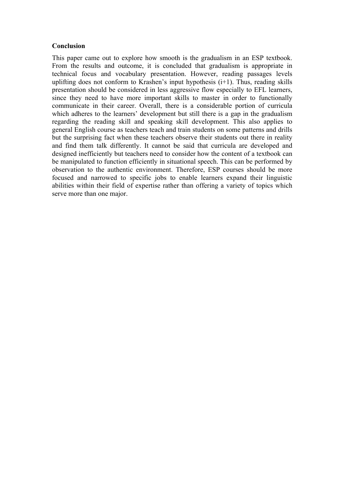### **Conclusion**

This paper came out to explore how smooth is the gradualism in an ESP textbook. From the results and outcome, it is concluded that gradualism is appropriate in technical focus and vocabulary presentation. However, reading passages levels uplifting does not conform to Krashen's input hypothesis (i+1). Thus, reading skills presentation should be considered in less aggressive flow especially to EFL learners, since they need to have more important skills to master in order to functionally communicate in their career. Overall, there is a considerable portion of curricula which adheres to the learners' development but still there is a gap in the gradualism regarding the reading skill and speaking skill development. This also applies to general English course as teachers teach and train students on some patterns and drills but the surprising fact when these teachers observe their students out there in reality and find them talk differently. It cannot be said that curricula are developed and designed inefficiently but teachers need to consider how the content of a textbook can be manipulated to function efficiently in situational speech. This can be performed by observation to the authentic environment. Therefore, ESP courses should be more focused and narrowed to specific jobs to enable learners expand their linguistic abilities within their field of expertise rather than offering a variety of topics which serve more than one major.